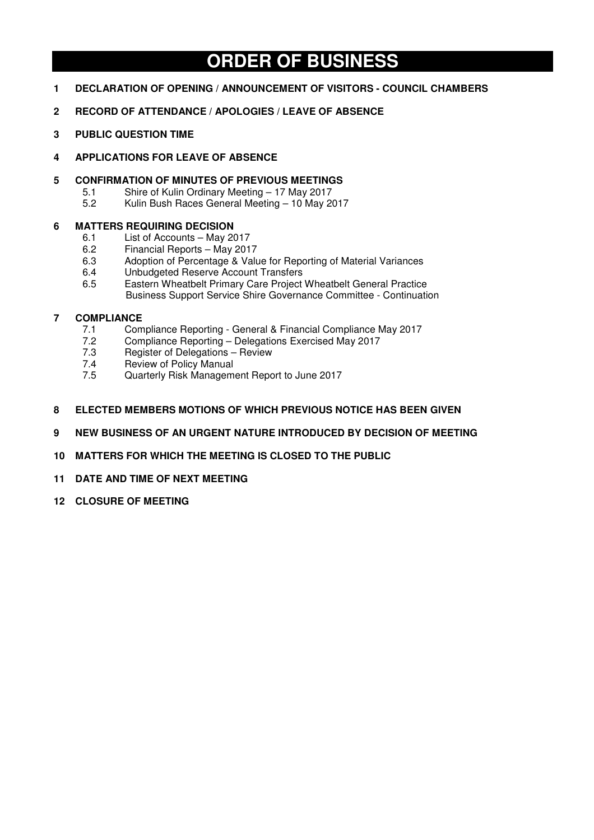# **ORDER OF BUSINESS**

- **1 DECLARATION OF OPENING / ANNOUNCEMENT OF VISITORS COUNCIL CHAMBERS**
- **2 RECORD OF ATTENDANCE / APOLOGIES / LEAVE OF ABSENCE**
- **3 PUBLIC QUESTION TIME**
- **4 APPLICATIONS FOR LEAVE OF ABSENCE**
- **5 CONFIRMATION OF MINUTES OF PREVIOUS MEETINGS**<br>5.1 Shire of Kulin Ordinary Meeting 17 May 2017
	- 5.1 Shire of Kulin Ordinary Meeting 17 May 2017<br>5.2 Kulin Bush Races General Meeting 10 May 20
	- 5.2 Kulin Bush Races General Meeting 10 May 2017

# **6 MATTERS REQUIRING DECISION**

- 6.1 List of Accounts May 2017
- 6.2 Financial Reports May 2017
- 6.3 Adoption of Percentage & Value for Reporting of Material Variances
- 6.4 Unbudgeted Reserve Account Transfers
- 6.5 Eastern Wheatbelt Primary Care Project Wheatbelt General Practice Business Support Service Shire Governance Committee - Continuation

# **7 COMPLIANCE**

- 7.1 Compliance Reporting General & Financial Compliance May 2017
- 7.2 Compliance Reporting Delegations Exercised May 2017
- 7.3 Register of Delegations Review
- 7.4 Review of Policy Manual<br>7.5 Quarterly Risk Managem
- 7.5 Quarterly Risk Management Report to June 2017
- **8 ELECTED MEMBERS MOTIONS OF WHICH PREVIOUS NOTICE HAS BEEN GIVEN**
- **9 NEW BUSINESS OF AN URGENT NATURE INTRODUCED BY DECISION OF MEETING**
- **10 MATTERS FOR WHICH THE MEETING IS CLOSED TO THE PUBLIC**
- **11 DATE AND TIME OF NEXT MEETING**
- **12 CLOSURE OF MEETING**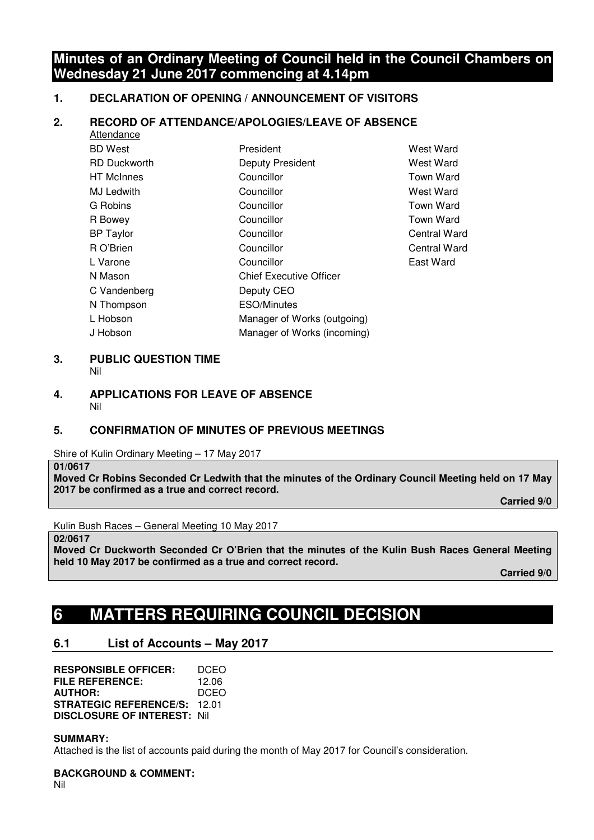# **Minutes of an Ordinary Meeting of Council held in the Council Chambers on Wednesday 21 June 2017 commencing at 4.14pm**

Central Ward Central Ward East Ward

# **1. DECLARATION OF OPENING / ANNOUNCEMENT OF VISITORS**

# **2. RECORD OF ATTENDANCE/APOLOGIES/LEAVE OF ABSENCE**

| <b>Attendance</b>   |                                |                    |
|---------------------|--------------------------------|--------------------|
| <b>BD</b> West      | President                      | West Ward          |
| <b>RD Duckworth</b> | <b>Deputy President</b>        | West Ward          |
| <b>HT</b> McInnes   | Councillor                     | Town Ward          |
| MJ Ledwith          | Councillor                     | West Ward          |
| G Robins            | Councillor                     | Town Ward          |
| R Bowey             | Councillor                     | Town Ward          |
| <b>BP</b> Taylor    | Councillor                     | <b>Central War</b> |
| R O'Brien           | Councillor                     | <b>Central War</b> |
| L Varone            | Councillor                     | East Ward          |
| N Mason             | <b>Chief Executive Officer</b> |                    |
| C Vandenberg        | Deputy CEO                     |                    |
| N Thompson          | <b>ESO/Minutes</b>             |                    |
| L Hobson            | Manager of Works (outgoing)    |                    |
| J Hobson            | Manager of Works (incoming)    |                    |
|                     |                                |                    |

#### **3. PUBLIC QUESTION TIME**  Nil

#### **4. APPLICATIONS FOR LEAVE OF ABSENCE**  Nil

# **5. CONFIRMATION OF MINUTES OF PREVIOUS MEETINGS**

Shire of Kulin Ordinary Meeting – 17 May 2017

**01/0617** 

**Moved Cr Robins Seconded Cr Ledwith that the minutes of the Ordinary Council Meeting held on 17 May 2017 be confirmed as a true and correct record.** 

 **Carried 9/0** 

Kulin Bush Races – General Meeting 10 May 2017

**02/0617** 

**Moved Cr Duckworth Seconded Cr O'Brien that the minutes of the Kulin Bush Races General Meeting held 10 May 2017 be confirmed as a true and correct record.** 

 **Carried 9/0** 

# **6 MATTERS REQUIRING COUNCIL DECISION**

# **6.1 List of Accounts – May 2017**

| <b>RESPONSIBLE OFFICER:</b>         | DCEO  |
|-------------------------------------|-------|
| FILE REFERENCE:                     | 12.06 |
| <b>AUTHOR:</b>                      | DCEO  |
| <b>STRATEGIC REFERENCE/S: 12.01</b> |       |
| <b>DISCLOSURE OF INTEREST: Nill</b> |       |

# **SUMMARY:**

Attached is the list of accounts paid during the month of May 2017 for Council's consideration.

# **BACKGROUND & COMMENT:**

Nil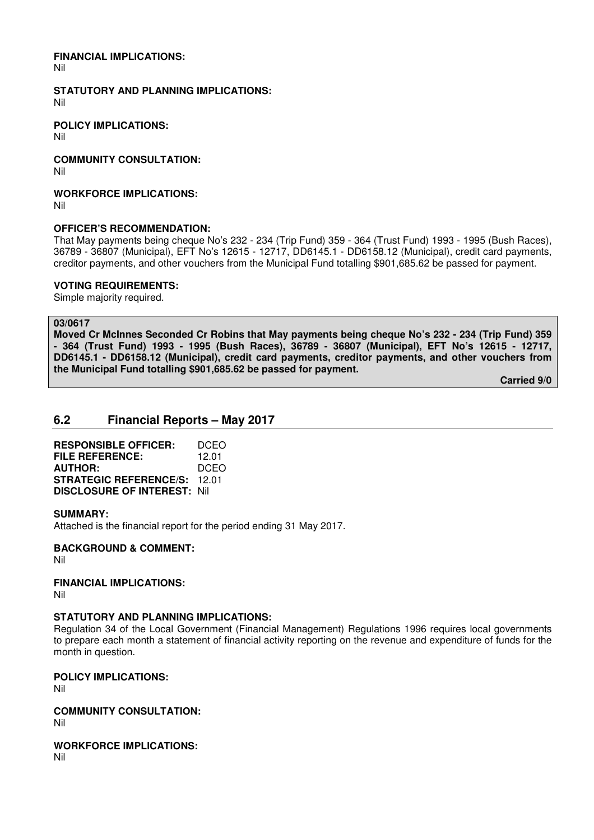#### **FINANCIAL IMPLICATIONS:**

Nil

# **STATUTORY AND PLANNING IMPLICATIONS:**

Nil

**POLICY IMPLICATIONS:** 

Nil

**COMMUNITY CONSULTATION:** 

Nil

**WORKFORCE IMPLICATIONS:** 

Nil

# **OFFICER'S RECOMMENDATION:**

That May payments being cheque No's 232 - 234 (Trip Fund) 359 - 364 (Trust Fund) 1993 - 1995 (Bush Races), 36789 - 36807 (Municipal), EFT No's 12615 - 12717, DD6145.1 - DD6158.12 (Municipal), credit card payments, creditor payments, and other vouchers from the Municipal Fund totalling \$901,685.62 be passed for payment.

# **VOTING REQUIREMENTS:**

Simple majority required.

#### **03/0617**

**Moved Cr McInnes Seconded Cr Robins that May payments being cheque No's 232 - 234 (Trip Fund) 359 - 364 (Trust Fund) 1993 - 1995 (Bush Races), 36789 - 36807 (Municipal), EFT No's 12615 - 12717, DD6145.1 - DD6158.12 (Municipal), credit card payments, creditor payments, and other vouchers from the Municipal Fund totalling \$901,685.62 be passed for payment.** 

 **Carried 9/0** 

# **6.2 Financial Reports – May 2017**

**RESPONSIBLE OFFICER:** DCEO **FILE REFERENCE:** 12.01 **AUTHOR:** DCEO **STRATEGIC REFERENCE/S:** 12.01 **DISCLOSURE OF INTEREST:** Nil

# **SUMMARY:**

Attached is the financial report for the period ending 31 May 2017.

**BACKGROUND & COMMENT:** 

Nil

**FINANCIAL IMPLICATIONS:**  Nil

# **STATUTORY AND PLANNING IMPLICATIONS:**

Regulation 34 of the Local Government (Financial Management) Regulations 1996 requires local governments to prepare each month a statement of financial activity reporting on the revenue and expenditure of funds for the month in question.

**POLICY IMPLICATIONS:**  Nil

**COMMUNITY CONSULTATION:**  Nil

**WORKFORCE IMPLICATIONS:**  Nil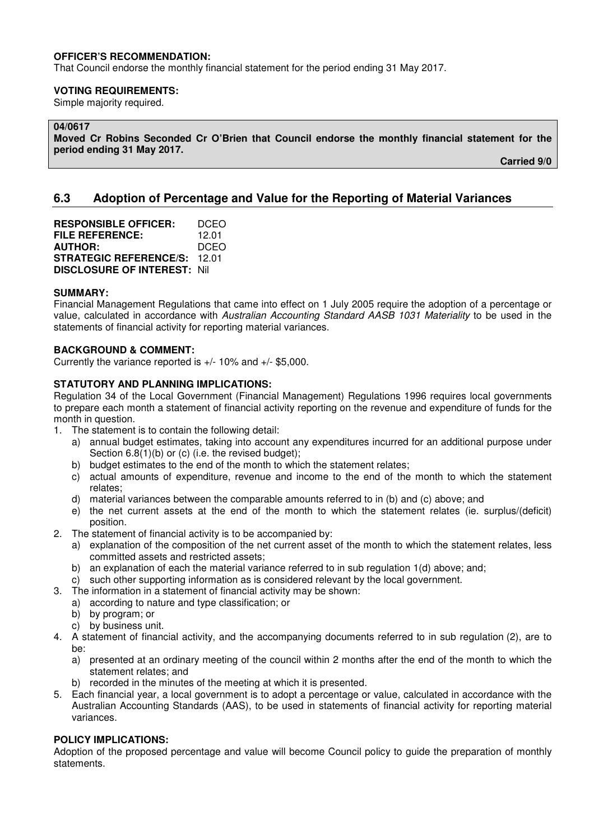# **OFFICER'S RECOMMENDATION:**

That Council endorse the monthly financial statement for the period ending 31 May 2017.

#### **VOTING REQUIREMENTS:**

Simple majority required.

# **04/0617**

**Moved Cr Robins Seconded Cr O'Brien that Council endorse the monthly financial statement for the period ending 31 May 2017.** 

 **Carried 9/0** 

# **6.3 Adoption of Percentage and Value for the Reporting of Material Variances**

**RESPONSIBLE OFFICER:** DCEO<br>**FILE REFERENCE:** 12.01 **FILE REFERENCE: AUTHOR:** DCEO **STRATEGIC REFERENCE/S:** 12.01 **DISCLOSURE OF INTEREST:** Nil

#### **SUMMARY:**

Financial Management Regulations that came into effect on 1 July 2005 require the adoption of a percentage or value, calculated in accordance with *Australian Accounting Standard AASB 1031 Materiality* to be used in the statements of financial activity for reporting material variances.

#### **BACKGROUND & COMMENT:**

Currently the variance reported is +/- 10% and +/- \$5,000.

# **STATUTORY AND PLANNING IMPLICATIONS:**

Regulation 34 of the Local Government (Financial Management) Regulations 1996 requires local governments to prepare each month a statement of financial activity reporting on the revenue and expenditure of funds for the month in question.

- 1. The statement is to contain the following detail:
	- a) annual budget estimates, taking into account any expenditures incurred for an additional purpose under Section 6.8(1)(b) or (c) (i.e. the revised budget);
	- b) budget estimates to the end of the month to which the statement relates;
	- c) actual amounts of expenditure, revenue and income to the end of the month to which the statement relates;
	- d) material variances between the comparable amounts referred to in (b) and (c) above; and
	- e) the net current assets at the end of the month to which the statement relates (ie. surplus/(deficit) position.
- 2. The statement of financial activity is to be accompanied by:
	- a) explanation of the composition of the net current asset of the month to which the statement relates, less committed assets and restricted assets;
	- b) an explanation of each the material variance referred to in sub regulation 1(d) above; and;
	- c) such other supporting information as is considered relevant by the local government.
- 3. The information in a statement of financial activity may be shown:
	- a) according to nature and type classification; or
	- b) by program; or
	- c) by business unit.
- 4. A statement of financial activity, and the accompanying documents referred to in sub regulation (2), are to be:
	- a) presented at an ordinary meeting of the council within 2 months after the end of the month to which the statement relates; and
	- b) recorded in the minutes of the meeting at which it is presented.
- 5. Each financial year, a local government is to adopt a percentage or value, calculated in accordance with the Australian Accounting Standards (AAS), to be used in statements of financial activity for reporting material variances.

# **POLICY IMPLICATIONS:**

Adoption of the proposed percentage and value will become Council policy to guide the preparation of monthly statements.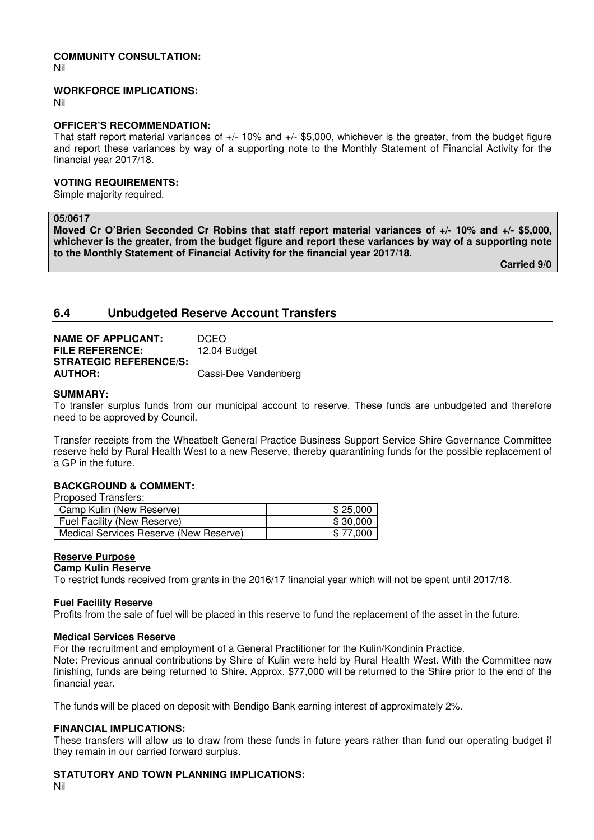# **COMMUNITY CONSULTATION:**

Nil

#### **WORKFORCE IMPLICATIONS:**

Nil

# **OFFICER'S RECOMMENDATION:**

That staff report material variances of +/- 10% and +/- \$5,000, whichever is the greater, from the budget figure and report these variances by way of a supporting note to the Monthly Statement of Financial Activity for the financial year 2017/18.

# **VOTING REQUIREMENTS:**

Simple majority required.

#### **05/0617**

**Moved Cr O'Brien Seconded Cr Robins that staff report material variances of +/- 10% and +/- \$5,000, whichever is the greater, from the budget figure and report these variances by way of a supporting note to the Monthly Statement of Financial Activity for the financial year 2017/18.** 

 **Carried 9/0** 

# **6.4 Unbudgeted Reserve Account Transfers**

| <b>NAME OF APPLICANT:</b>     | <b>DCEO</b>          |
|-------------------------------|----------------------|
| <b>FILE REFERENCE:</b>        | 12.04 Budget         |
| <b>STRATEGIC REFERENCE/S:</b> |                      |
| <b>AUTHOR:</b>                | Cassi-Dee Vandenberg |

#### **SUMMARY:**

To transfer surplus funds from our municipal account to reserve. These funds are unbudgeted and therefore need to be approved by Council.

Transfer receipts from the Wheatbelt General Practice Business Support Service Shire Governance Committee reserve held by Rural Health West to a new Reserve, thereby quarantining funds for the possible replacement of a GP in the future.

# **BACKGROUND & COMMENT:**

| Camp Kulin (New Reserve)               | \$25.000 |
|----------------------------------------|----------|
| <b>Fuel Facility (New Reserve)</b>     | \$30.000 |
| Medical Services Reserve (New Reserve) | \$77.000 |

#### **Reserve Purpose**

#### **Camp Kulin Reserve**

To restrict funds received from grants in the 2016/17 financial year which will not be spent until 2017/18.

#### **Fuel Facility Reserve**

Profits from the sale of fuel will be placed in this reserve to fund the replacement of the asset in the future.

#### **Medical Services Reserve**

For the recruitment and employment of a General Practitioner for the Kulin/Kondinin Practice.

Note: Previous annual contributions by Shire of Kulin were held by Rural Health West. With the Committee now finishing, funds are being returned to Shire. Approx. \$77,000 will be returned to the Shire prior to the end of the financial year.

The funds will be placed on deposit with Bendigo Bank earning interest of approximately 2%.

# **FINANCIAL IMPLICATIONS:**

These transfers will allow us to draw from these funds in future years rather than fund our operating budget if they remain in our carried forward surplus.

# **STATUTORY AND TOWN PLANNING IMPLICATIONS:**

Nil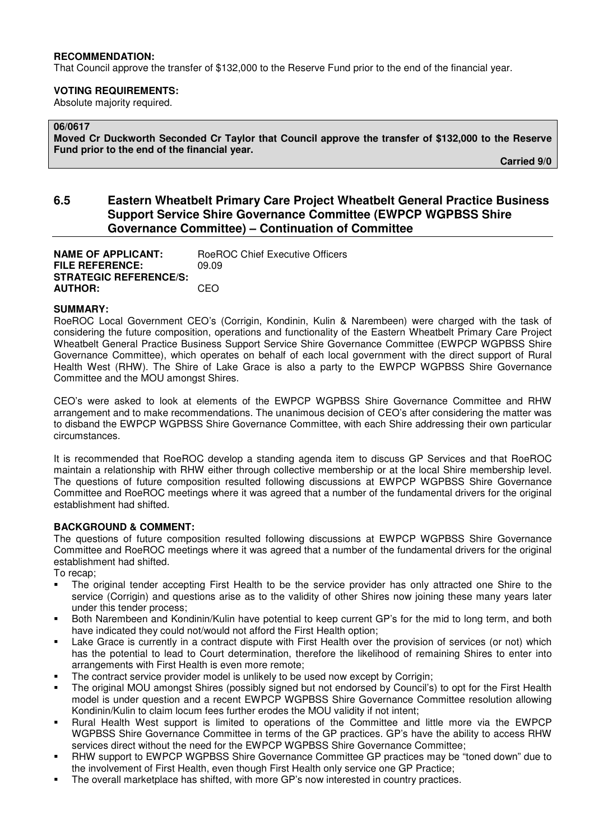#### **RECOMMENDATION:**

That Council approve the transfer of \$132,000 to the Reserve Fund prior to the end of the financial year.

#### **VOTING REQUIREMENTS:**

Absolute majority required.

# **06/0617**

**Moved Cr Duckworth Seconded Cr Taylor that Council approve the transfer of \$132,000 to the Reserve Fund prior to the end of the financial year.** 

 **Carried 9/0** 

# **6.5 Eastern Wheatbelt Primary Care Project Wheatbelt General Practice Business Support Service Shire Governance Committee (EWPCP WGPBSS Shire Governance Committee) – Continuation of Committee**

**NAME OF APPLICANT:** RoeROC Chief Executive Officers **FILE REFERENCE:** 09.09 **STRATEGIC REFERENCE/S: AUTHOR:** CEO

#### **SUMMARY:**

RoeROC Local Government CEO's (Corrigin, Kondinin, Kulin & Narembeen) were charged with the task of considering the future composition, operations and functionality of the Eastern Wheatbelt Primary Care Project Wheatbelt General Practice Business Support Service Shire Governance Committee (EWPCP WGPBSS Shire Governance Committee), which operates on behalf of each local government with the direct support of Rural Health West (RHW). The Shire of Lake Grace is also a party to the EWPCP WGPBSS Shire Governance Committee and the MOU amongst Shires.

CEO's were asked to look at elements of the EWPCP WGPBSS Shire Governance Committee and RHW arrangement and to make recommendations. The unanimous decision of CEO's after considering the matter was to disband the EWPCP WGPBSS Shire Governance Committee, with each Shire addressing their own particular circumstances.

It is recommended that RoeROC develop a standing agenda item to discuss GP Services and that RoeROC maintain a relationship with RHW either through collective membership or at the local Shire membership level. The questions of future composition resulted following discussions at EWPCP WGPBSS Shire Governance Committee and RoeROC meetings where it was agreed that a number of the fundamental drivers for the original establishment had shifted.

#### **BACKGROUND & COMMENT:**

The questions of future composition resulted following discussions at EWPCP WGPBSS Shire Governance Committee and RoeROC meetings where it was agreed that a number of the fundamental drivers for the original establishment had shifted.

To recap;

- The original tender accepting First Health to be the service provider has only attracted one Shire to the service (Corrigin) and questions arise as to the validity of other Shires now joining these many years later under this tender process;
- Both Narembeen and Kondinin/Kulin have potential to keep current GP's for the mid to long term, and both have indicated they could not/would not afford the First Health option;
- Lake Grace is currently in a contract dispute with First Health over the provision of services (or not) which has the potential to lead to Court determination, therefore the likelihood of remaining Shires to enter into arrangements with First Health is even more remote;
- The contract service provider model is unlikely to be used now except by Corrigin;
- The original MOU amongst Shires (possibly signed but not endorsed by Council's) to opt for the First Health model is under question and a recent EWPCP WGPBSS Shire Governance Committee resolution allowing Kondinin/Kulin to claim locum fees further erodes the MOU validity if not intent;
- Rural Health West support is limited to operations of the Committee and little more via the EWPCP WGPBSS Shire Governance Committee in terms of the GP practices. GP's have the ability to access RHW services direct without the need for the EWPCP WGPBSS Shire Governance Committee;
- RHW support to EWPCP WGPBSS Shire Governance Committee GP practices may be "toned down" due to the involvement of First Health, even though First Health only service one GP Practice;
- The overall marketplace has shifted, with more GP's now interested in country practices.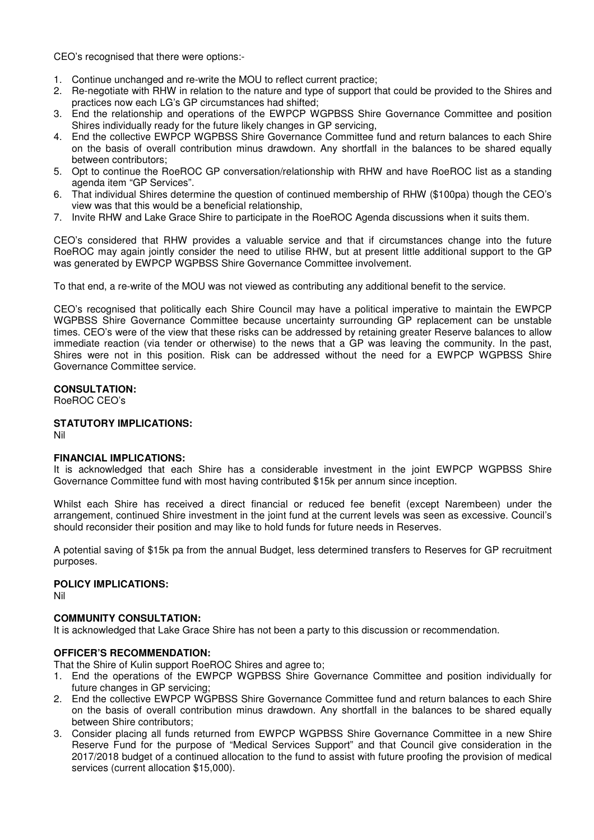CEO's recognised that there were options:-

- 1. Continue unchanged and re-write the MOU to reflect current practice;
- 2. Re-negotiate with RHW in relation to the nature and type of support that could be provided to the Shires and practices now each LG's GP circumstances had shifted;
- 3. End the relationship and operations of the EWPCP WGPBSS Shire Governance Committee and position Shires individually ready for the future likely changes in GP servicing,
- 4. End the collective EWPCP WGPBSS Shire Governance Committee fund and return balances to each Shire on the basis of overall contribution minus drawdown. Any shortfall in the balances to be shared equally between contributors;
- 5. Opt to continue the RoeROC GP conversation/relationship with RHW and have RoeROC list as a standing agenda item "GP Services".
- 6. That individual Shires determine the question of continued membership of RHW (\$100pa) though the CEO's view was that this would be a beneficial relationship,
- 7. Invite RHW and Lake Grace Shire to participate in the RoeROC Agenda discussions when it suits them.

CEO's considered that RHW provides a valuable service and that if circumstances change into the future RoeROC may again jointly consider the need to utilise RHW, but at present little additional support to the GP was generated by EWPCP WGPBSS Shire Governance Committee involvement.

To that end, a re-write of the MOU was not viewed as contributing any additional benefit to the service.

CEO's recognised that politically each Shire Council may have a political imperative to maintain the EWPCP WGPBSS Shire Governance Committee because uncertainty surrounding GP replacement can be unstable times. CEO's were of the view that these risks can be addressed by retaining greater Reserve balances to allow immediate reaction (via tender or otherwise) to the news that a GP was leaving the community. In the past, Shires were not in this position. Risk can be addressed without the need for a EWPCP WGPBSS Shire Governance Committee service.

# **CONSULTATION:**

RoeROC CEO's

# **STATUTORY IMPLICATIONS:**

Nil

# **FINANCIAL IMPLICATIONS:**

It is acknowledged that each Shire has a considerable investment in the joint EWPCP WGPBSS Shire Governance Committee fund with most having contributed \$15k per annum since inception.

Whilst each Shire has received a direct financial or reduced fee benefit (except Narembeen) under the arrangement, continued Shire investment in the joint fund at the current levels was seen as excessive. Council's should reconsider their position and may like to hold funds for future needs in Reserves.

A potential saving of \$15k pa from the annual Budget, less determined transfers to Reserves for GP recruitment purposes.

# **POLICY IMPLICATIONS:**

Nil

# **COMMUNITY CONSULTATION:**

It is acknowledged that Lake Grace Shire has not been a party to this discussion or recommendation.

# **OFFICER'S RECOMMENDATION:**

That the Shire of Kulin support RoeROC Shires and agree to;

- 1. End the operations of the EWPCP WGPBSS Shire Governance Committee and position individually for future changes in GP servicing;
- 2. End the collective EWPCP WGPBSS Shire Governance Committee fund and return balances to each Shire on the basis of overall contribution minus drawdown. Any shortfall in the balances to be shared equally between Shire contributors;
- 3. Consider placing all funds returned from EWPCP WGPBSS Shire Governance Committee in a new Shire Reserve Fund for the purpose of "Medical Services Support" and that Council give consideration in the 2017/2018 budget of a continued allocation to the fund to assist with future proofing the provision of medical services (current allocation \$15,000).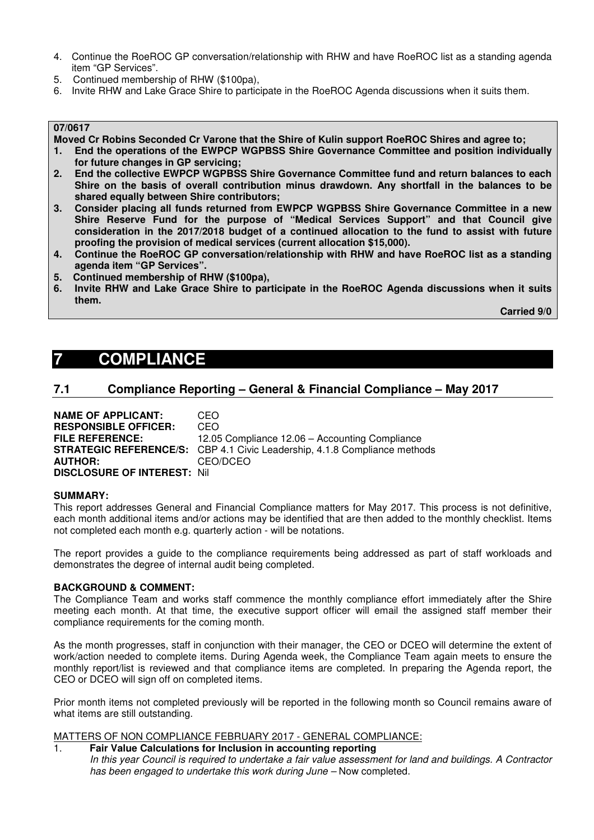- 4. Continue the RoeROC GP conversation/relationship with RHW and have RoeROC list as a standing agenda item "GP Services".
- 5. Continued membership of RHW (\$100pa),
- 6. Invite RHW and Lake Grace Shire to participate in the RoeROC Agenda discussions when it suits them.

# **07/0617**

**Moved Cr Robins Seconded Cr Varone that the Shire of Kulin support RoeROC Shires and agree to;** 

- **1. End the operations of the EWPCP WGPBSS Shire Governance Committee and position individually for future changes in GP servicing;**
- **2. End the collective EWPCP WGPBSS Shire Governance Committee fund and return balances to each Shire on the basis of overall contribution minus drawdown. Any shortfall in the balances to be shared equally between Shire contributors;**
- **3. Consider placing all funds returned from EWPCP WGPBSS Shire Governance Committee in a new Shire Reserve Fund for the purpose of "Medical Services Support" and that Council give consideration in the 2017/2018 budget of a continued allocation to the fund to assist with future proofing the provision of medical services (current allocation \$15,000).**
- **4. Continue the RoeROC GP conversation/relationship with RHW and have RoeROC list as a standing agenda item "GP Services".**
- **5. Continued membership of RHW (\$100pa),**
- **6. Invite RHW and Lake Grace Shire to participate in the RoeROC Agenda discussions when it suits them.**

 **Carried 9/0** 

# **7 COMPLIANCE**

# **7.1 Compliance Reporting – General & Financial Compliance – May 2017**

**NAME OF APPLICANT:** CEO **RESPONSIBLE OFFICER:** CEO **FILE REFERENCE:** 12.05 Compliance 12.06 – Accounting Compliance **STRATEGIC REFERENCE/S:** CBP 4.1 Civic Leadership, 4.1.8 Compliance methods **AUTHOR:** CEO/DCEO **DISCLOSURE OF INTEREST:** Nil

#### **SUMMARY:**

This report addresses General and Financial Compliance matters for May 2017. This process is not definitive, each month additional items and/or actions may be identified that are then added to the monthly checklist. Items not completed each month e.g. quarterly action - will be notations.

The report provides a guide to the compliance requirements being addressed as part of staff workloads and demonstrates the degree of internal audit being completed.

#### **BACKGROUND & COMMENT:**

The Compliance Team and works staff commence the monthly compliance effort immediately after the Shire meeting each month. At that time, the executive support officer will email the assigned staff member their compliance requirements for the coming month.

As the month progresses, staff in conjunction with their manager, the CEO or DCEO will determine the extent of work/action needed to complete items. During Agenda week, the Compliance Team again meets to ensure the monthly report/list is reviewed and that compliance items are completed. In preparing the Agenda report, the CEO or DCEO will sign off on completed items.

Prior month items not completed previously will be reported in the following month so Council remains aware of what items are still outstanding.

# MATTERS OF NON COMPLIANCE FEBRUARY 2017 - GENERAL COMPLIANCE:

# 1. **Fair Value Calculations for Inclusion in accounting reporting**

*In this year Council is required to undertake a fair value assessment for land and buildings. A Contractor*  has been engaged to undertake this work during June – Now completed.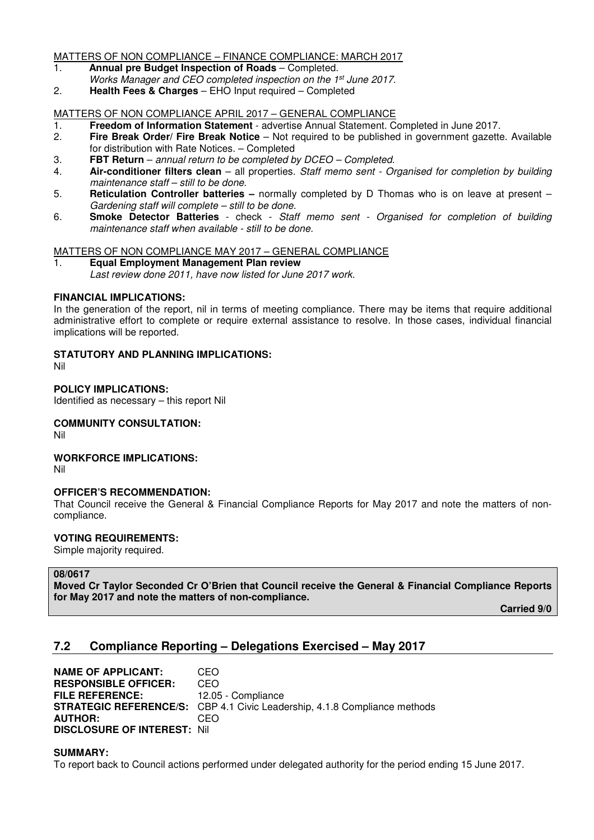#### MATTERS OF NON COMPLIANCE – FINANCE COMPLIANCE: MARCH 2017

- 1. **Annual pre Budget Inspection of Roads** Completed.
- *Works Manager and CEO completed inspection on the 1st June 2017.*
- 2. **Health Fees & Charges** EHO Input required Completed

# MATTERS OF NON COMPLIANCE APRIL 2017 – GENERAL COMPLIANCE

- 1. **Freedom of Information Statement** advertise Annual Statement. Completed in June 2017.
- 2. **Fire Break Order/ Fire Break Notice** Not required to be published in government gazette. Available for distribution with Rate Notices. – Completed
- 3. **FBT Return** *annual return to be completed by DCEO Completed.*
- 4. **Air-conditioner filters clean**  all properties. *Staff memo sent Organised for completion by building maintenance staff – still to be done.*
- 5. **Reticulation Controller batteries** normally completed by D Thomas who is on leave at present *Gardening staff will complete – still to be done.*
- 6. **Smoke Detector Batteries**  check *Staff memo sent Organised for completion of building maintenance staff when available - still to be done.*

# MATTERS OF NON COMPLIANCE MAY 2017 – GENERAL COMPLIANCE

1. **Equal Employment Management Plan review**  *Last review done 2011, have now listed for June 2017 work.*

#### **FINANCIAL IMPLICATIONS:**

In the generation of the report, nil in terms of meeting compliance. There may be items that require additional administrative effort to complete or require external assistance to resolve. In those cases, individual financial implications will be reported.

# **STATUTORY AND PLANNING IMPLICATIONS:**

Nil

#### **POLICY IMPLICATIONS:**

Identified as necessary – this report Nil

#### **COMMUNITY CONSULTATION:**

Nil

# **WORKFORCE IMPLICATIONS:**

Nil

# **OFFICER'S RECOMMENDATION:**

That Council receive the General & Financial Compliance Reports for May 2017 and note the matters of noncompliance.

# **VOTING REQUIREMENTS:**

Simple majority required.

# **08/0617**

**Moved Cr Taylor Seconded Cr O'Brien that Council receive the General & Financial Compliance Reports for May 2017 and note the matters of non-compliance.** 

 **Carried 9/0** 

# **7.2 Compliance Reporting – Delegations Exercised – May 2017**

| <b>NAME OF APPLICANT:</b>          | CEO                                                                              |
|------------------------------------|----------------------------------------------------------------------------------|
| <b>RESPONSIBLE OFFICER:</b>        | CEO                                                                              |
| <b>FILE REFERENCE:</b>             | 12.05 - Compliance                                                               |
|                                    | <b>STRATEGIC REFERENCE/S:</b> CBP 4.1 Civic Leadership, 4.1.8 Compliance methods |
| <b>AUTHOR:</b>                     | CEO                                                                              |
| <b>DISCLOSURE OF INTEREST: Nil</b> |                                                                                  |

#### **SUMMARY:**

To report back to Council actions performed under delegated authority for the period ending 15 June 2017.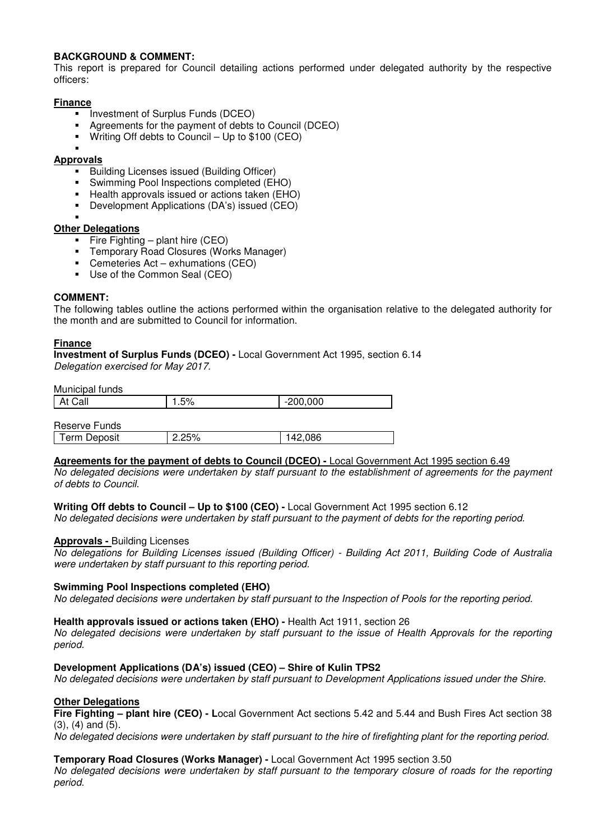# **BACKGROUND & COMMENT:**

This report is prepared for Council detailing actions performed under delegated authority by the respective officers:

# **Finance**

- **Investment of Surplus Funds (DCEO)**
- Agreements for the payment of debts to Council (DCEO)
- Writing Off debts to Council Up to \$100 (CEO)

#### ×, **Approvals**

- **Building Licenses issued (Building Officer)**
- Swimming Pool Inspections completed (EHO)
- **Health approvals issued or actions taken (EHO)**
- Development Applications (DA's) issued (CEO)
- ×,

# **Other Delegations**

- Fire Fighting plant hire  $(CEO)$
- Temporary Road Closures (Works Manager)
- Cemeteries Act exhumations (CEO)
- Use of the Common Seal (CEO)

# **COMMENT:**

The following tables outline the actions performed within the organisation relative to the delegated authority for the month and are submitted to Council for information.

# **Finance**

**Investment of Surplus Funds (DCEO) -** Local Government Act 1995, section 6.14 *Delegation exercised for May 2017.* 

Municipal funds

| At Call             | 1.5%     | $-200,000$ |  |
|---------------------|----------|------------|--|
|                     |          |            |  |
| Reserve Funds       |          |            |  |
| <b>Term Deposit</b> | $2.25\%$ | 142.086    |  |

# **Agreements for the payment of debts to Council (DCEO) -** Local Government Act 1995 section 6.49

*No delegated decisions were undertaken by staff pursuant to the establishment of agreements for the payment of debts to Council.* 

# **Writing Off debts to Council – Up to \$100 (CEO) -** Local Government Act 1995 section 6.12

*No delegated decisions were undertaken by staff pursuant to the payment of debts for the reporting period.* 

# **Approvals -** Building Licenses

*No delegations for Building Licenses issued (Building Officer) - Building Act 2011, Building Code of Australia were undertaken by staff pursuant to this reporting period.* 

# **Swimming Pool Inspections completed (EHO)**

*No delegated decisions were undertaken by staff pursuant to the Inspection of Pools for the reporting period.* 

# **Health approvals issued or actions taken (EHO) -** Health Act 1911, section 26

*No delegated decisions were undertaken by staff pursuant to the issue of Health Approvals for the reporting period.* 

# **Development Applications (DA's) issued (CEO) – Shire of Kulin TPS2**

*No delegated decisions were undertaken by staff pursuant to Development Applications issued under the Shire.* 

# **Other Delegations**

**Fire Fighting – plant hire (CEO) - L**ocal Government Act sections 5.42 and 5.44 and Bush Fires Act section 38 (3), (4) and (5).

*No delegated decisions were undertaken by staff pursuant to the hire of firefighting plant for the reporting period.* 

# **Temporary Road Closures (Works Manager) -** Local Government Act 1995 section 3.50

*No delegated decisions were undertaken by staff pursuant to the temporary closure of roads for the reporting period.*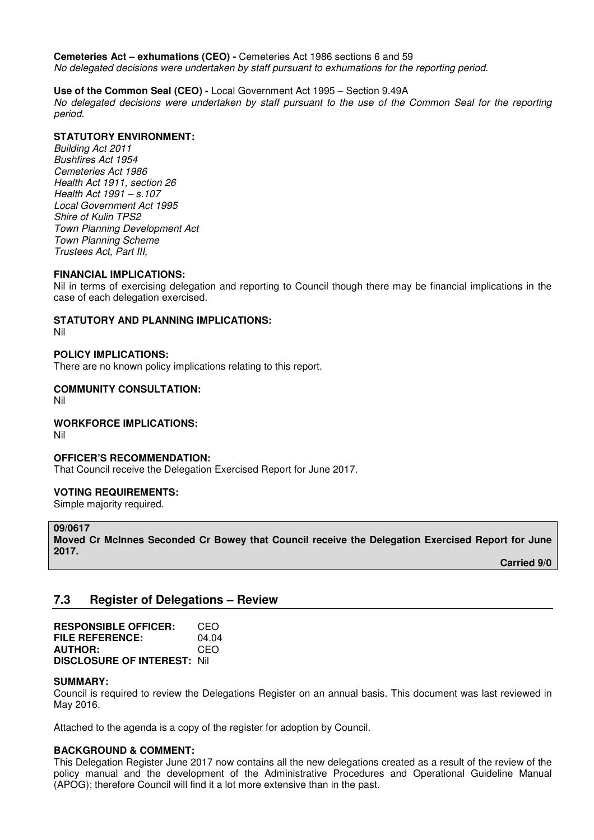**Cemeteries Act – exhumations (CEO) -** Cemeteries Act 1986 sections 6 and 59

*No delegated decisions were undertaken by staff pursuant to exhumations for the reporting period.* 

# **Use of the Common Seal (CEO) -** Local Government Act 1995 – Section 9.49A

*No delegated decisions were undertaken by staff pursuant to the use of the Common Seal for the reporting period.* 

# **STATUTORY ENVIRONMENT:**

*Building Act 2011 Bushfires Act 1954 Cemeteries Act 1986 Health Act 1911, section 26 Health Act 1991 – s.107 Local Government Act 1995 Shire of Kulin TPS2 Town Planning Development Act Town Planning Scheme Trustees Act, Part III,*

# **FINANCIAL IMPLICATIONS:**

Nil in terms of exercising delegation and reporting to Council though there may be financial implications in the case of each delegation exercised.

# **STATUTORY AND PLANNING IMPLICATIONS:**

Nil

# **POLICY IMPLICATIONS:**

There are no known policy implications relating to this report.

#### **COMMUNITY CONSULTATION:**  Nil

# **WORKFORCE IMPLICATIONS:**

Nil

# **OFFICER'S RECOMMENDATION:**

That Council receive the Delegation Exercised Report for June 2017.

# **VOTING REQUIREMENTS:**

Simple majority required.

# **09/0617**

**Moved Cr McInnes Seconded Cr Bowey that Council receive the Delegation Exercised Report for June 2017.** 

 **Carried 9/0** 

# **7.3 Register of Delegations – Review**

| <b>RESPONSIBLE OFFICER:</b>         | CEO   |
|-------------------------------------|-------|
| FILE REFERENCE:                     | 04.04 |
| <b>AUTHOR:</b>                      | CEO   |
| <b>DISCLOSURE OF INTEREST: Nill</b> |       |

#### **SUMMARY:**

Council is required to review the Delegations Register on an annual basis. This document was last reviewed in May 2016.

Attached to the agenda is a copy of the register for adoption by Council.

# **BACKGROUND & COMMENT:**

This Delegation Register June 2017 now contains all the new delegations created as a result of the review of the policy manual and the development of the Administrative Procedures and Operational Guideline Manual (APOG); therefore Council will find it a lot more extensive than in the past.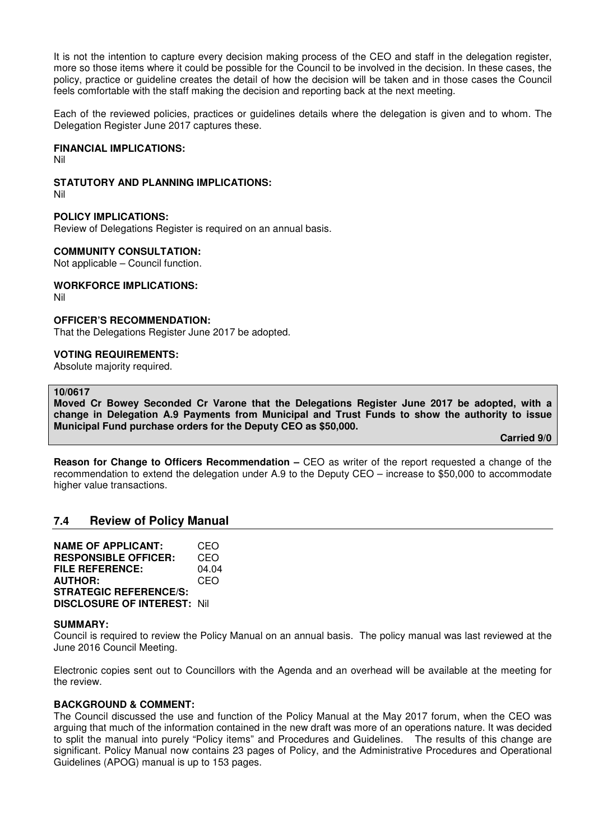It is not the intention to capture every decision making process of the CEO and staff in the delegation register, more so those items where it could be possible for the Council to be involved in the decision. In these cases, the policy, practice or guideline creates the detail of how the decision will be taken and in those cases the Council feels comfortable with the staff making the decision and reporting back at the next meeting.

Each of the reviewed policies, practices or guidelines details where the delegation is given and to whom. The Delegation Register June 2017 captures these.

#### **FINANCIAL IMPLICATIONS:**

Nil

#### **STATUTORY AND PLANNING IMPLICATIONS:**

Nil

#### **POLICY IMPLICATIONS:**

Review of Delegations Register is required on an annual basis.

#### **COMMUNITY CONSULTATION:**

Not applicable – Council function.

#### **WORKFORCE IMPLICATIONS:**

Nil

#### **OFFICER'S RECOMMENDATION:**

That the Delegations Register June 2017 be adopted.

#### **VOTING REQUIREMENTS:**

Absolute majority required.

#### **10/0617**

**Moved Cr Bowey Seconded Cr Varone that the Delegations Register June 2017 be adopted, with a change in Delegation A.9 Payments from Municipal and Trust Funds to show the authority to issue Municipal Fund purchase orders for the Deputy CEO as \$50,000.** 

 **Carried 9/0** 

**Reason for Change to Officers Recommendation –** CEO as writer of the report requested a change of the recommendation to extend the delegation under A.9 to the Deputy CEO – increase to \$50,000 to accommodate higher value transactions.

# **7.4 Review of Policy Manual**

**NAME OF APPLICANT:** CEO **RESPONSIBLE OFFICER:** CEO **FILE REFERENCE:** 04.04 **AUTHOR:** CEO **STRATEGIC REFERENCE/S: DISCLOSURE OF INTEREST:** Nil

#### **SUMMARY:**

Council is required to review the Policy Manual on an annual basis. The policy manual was last reviewed at the June 2016 Council Meeting.

Electronic copies sent out to Councillors with the Agenda and an overhead will be available at the meeting for the review.

#### **BACKGROUND & COMMENT:**

The Council discussed the use and function of the Policy Manual at the May 2017 forum, when the CEO was arguing that much of the information contained in the new draft was more of an operations nature. It was decided to split the manual into purely "Policy items" and Procedures and Guidelines. The results of this change are significant. Policy Manual now contains 23 pages of Policy, and the Administrative Procedures and Operational Guidelines (APOG) manual is up to 153 pages.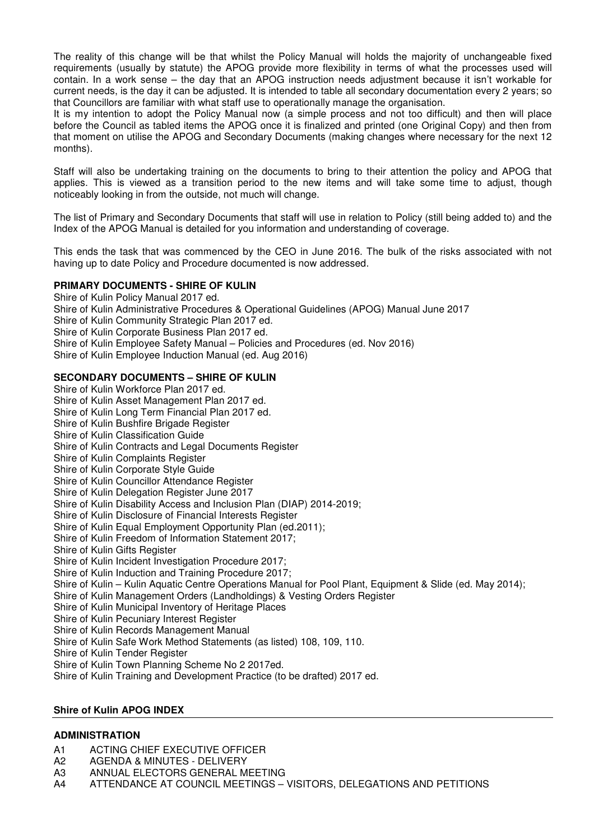The reality of this change will be that whilst the Policy Manual will holds the majority of unchangeable fixed requirements (usually by statute) the APOG provide more flexibility in terms of what the processes used will contain. In a work sense – the day that an APOG instruction needs adjustment because it isn't workable for current needs, is the day it can be adjusted. It is intended to table all secondary documentation every 2 years; so that Councillors are familiar with what staff use to operationally manage the organisation.

It is my intention to adopt the Policy Manual now (a simple process and not too difficult) and then will place before the Council as tabled items the APOG once it is finalized and printed (one Original Copy) and then from that moment on utilise the APOG and Secondary Documents (making changes where necessary for the next 12 months).

Staff will also be undertaking training on the documents to bring to their attention the policy and APOG that applies. This is viewed as a transition period to the new items and will take some time to adjust, though noticeably looking in from the outside, not much will change.

The list of Primary and Secondary Documents that staff will use in relation to Policy (still being added to) and the Index of the APOG Manual is detailed for you information and understanding of coverage.

This ends the task that was commenced by the CEO in June 2016. The bulk of the risks associated with not having up to date Policy and Procedure documented is now addressed.

# **PRIMARY DOCUMENTS - SHIRE OF KULIN**

Shire of Kulin Policy Manual 2017 ed. Shire of Kulin Administrative Procedures & Operational Guidelines (APOG) Manual June 2017 Shire of Kulin Community Strategic Plan 2017 ed. Shire of Kulin Corporate Business Plan 2017 ed. Shire of Kulin Employee Safety Manual – Policies and Procedures (ed. Nov 2016) Shire of Kulin Employee Induction Manual (ed. Aug 2016)

# **SECONDARY DOCUMENTS – SHIRE OF KULIN**

Shire of Kulin Workforce Plan 2017 ed. Shire of Kulin Asset Management Plan 2017 ed. Shire of Kulin Long Term Financial Plan 2017 ed. Shire of Kulin Bushfire Brigade Register Shire of Kulin Classification Guide Shire of Kulin Contracts and Legal Documents Register Shire of Kulin Complaints Register Shire of Kulin Corporate Style Guide Shire of Kulin Councillor Attendance Register Shire of Kulin Delegation Register June 2017 Shire of Kulin Disability Access and Inclusion Plan (DIAP) 2014-2019; Shire of Kulin Disclosure of Financial Interests Register Shire of Kulin Equal Employment Opportunity Plan (ed.2011); Shire of Kulin Freedom of Information Statement 2017; Shire of Kulin Gifts Register Shire of Kulin Incident Investigation Procedure 2017; Shire of Kulin Induction and Training Procedure 2017; Shire of Kulin – Kulin Aquatic Centre Operations Manual for Pool Plant, Equipment & Slide (ed. May 2014); Shire of Kulin Management Orders (Landholdings) & Vesting Orders Register Shire of Kulin Municipal Inventory of Heritage Places Shire of Kulin Pecuniary Interest Register Shire of Kulin Records Management Manual Shire of Kulin Safe Work Method Statements (as listed) 108, 109, 110. Shire of Kulin Tender Register Shire of Kulin Town Planning Scheme No 2 2017ed. Shire of Kulin Training and Development Practice (to be drafted) 2017 ed.

#### **Shire of Kulin APOG INDEX**

# **ADMINISTRATION**

- A1 ACTING CHIEF EXECUTIVE OFFICER
- A2 AGENDA & MINUTES DELIVERY
- A3 ANNUAL ELECTORS GENERAL MEETING
- A4 ATTENDANCE AT COUNCIL MEETINGS VISITORS, DELEGATIONS AND PETITIONS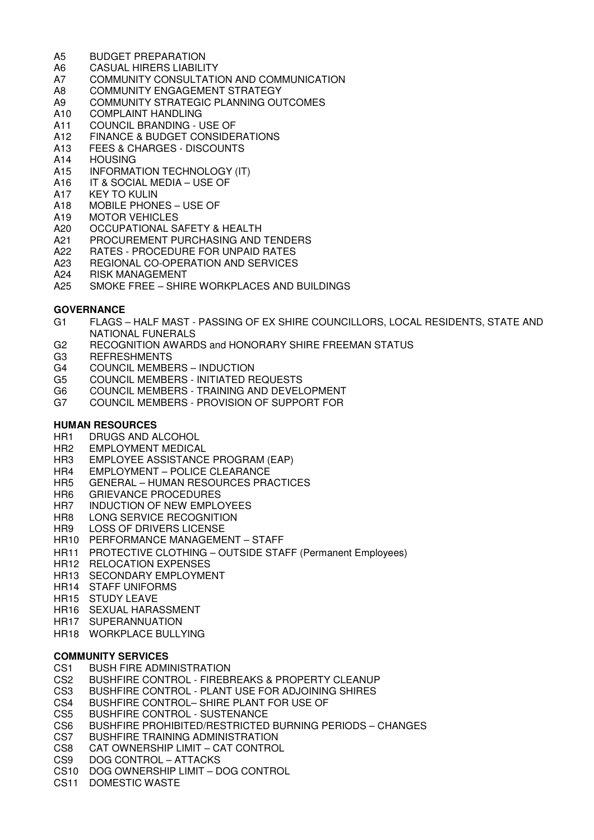- A5 BUDGET PREPARATION
- A6 CASUAL HIRERS LIABILITY
- A7 COMMUNITY CONSULTATION AND COMMUNICATION
- A8 COMMUNITY ENGAGEMENT STRATEGY
- A9 COMMUNITY STRATEGIC PLANNING OUTCOMES
- A10 COMPLAINT HANDLING
- A11 COUNCIL BRANDING USE OF
- A12 FINANCE & BUDGET CONSIDERATIONS
- A13 FEES & CHARGES DISCOUNTS<br>A14 HOUSING
- **HOUSING**
- A15 INFORMATION TECHNOLOGY (IT)
- A16 IT & SOCIAL MEDIA USE OF
- A17 KEY TO KULIN
- A18 MOBILE PHONES USE OF
- A19 MOTOR VEHICLES<br>A20 OCCUPATIONAL S.
- OCCUPATIONAL SAFETY & HEALTH
- A21 PROCUREMENT PURCHASING AND TENDERS
- A22 RATES PROCEDURE FOR UNPAID RATES
- A23 REGIONAL CO-OPERATION AND SERVICES
- A24 RISK MANAGEMENT
- A25 SMOKE FREE SHIRE WORKPLACES AND BUILDINGS

#### **GOVERNANCE**

- G1 FLAGS HALF MAST PASSING OF EX SHIRE COUNCILLORS, LOCAL RESIDENTS, STATE AND NATIONAL FUNERALS
- G2 RECOGNITION AWARDS and HONORARY SHIRE FREEMAN STATUS
- G3 REFRESHMENTS
- G4 COUNCIL MEMBERS INDUCTION
- G5 COUNCIL MEMBERS INITIATED REQUESTS
- G6 COUNCIL MEMBERS TRAINING AND DEVELOPMENT
- G7 COUNCIL MEMBERS PROVISION OF SUPPORT FOR

#### **HUMAN RESOURCES**

- HR1 DRUGS AND ALCOHOL
- HR2 EMPLOYMENT MEDICAL
- HR3 EMPLOYEE ASSISTANCE PROGRAM (EAP)
- HR4 EMPLOYMENT POLICE CLEARANCE
- HR5 GENERAL HUMAN RESOURCES PRACTICES
- HR6 GRIEVANCE PROCEDURES
- HR7 INDUCTION OF NEW EMPLOYEES
- HR8 LONG SERVICE RECOGNITION
- HR9 LOSS OF DRIVERS LICENSE
- HR10 PERFORMANCE MANAGEMENT STAFF
- HR11 PROTECTIVE CLOTHING OUTSIDE STAFF (Permanent Employees)
- HR12 RELOCATION EXPENSES
- HR13 SECONDARY EMPLOYMENT
- HR14 STAFF UNIFORMS
- HR15 STUDY LEAVE
- HR16 SEXUAL HARASSMENT
- HR17 SUPERANNUATION
- HR18 WORKPLACE BULLYING

# **COMMUNITY SERVICES**

- CS1 BUSH FIRE ADMINISTRATION
- CS2 BUSHFIRE CONTROL FIREBREAKS & PROPERTY CLEANUP
- CS3 BUSHFIRE CONTROL PLANT USE FOR ADJOINING SHIRES
- CS4 BUSHFIRE CONTROL– SHIRE PLANT FOR USE OF CS5 BUSHFIRE CONTROL SUSTENANCE
- CS5 BUSHFIRE CONTROL SUSTENANCE<br>CS6 BUSHFIRE PROHIBITED/RESTRICTED
- BUSHFIRE PROHIBITED/RESTRICTED BURNING PERIODS CHANGES
- CS7 BUSHFIRE TRAINING ADMINISTRATION
- CS8 CAT OWNERSHIP LIMIT CAT CONTROL<br>CS9 DOG CONTROL ATTACKS
- DOG CONTROL ATTACKS
- CS10 DOG OWNERSHIP LIMIT DOG CONTROL
- CS11 DOMESTIC WASTE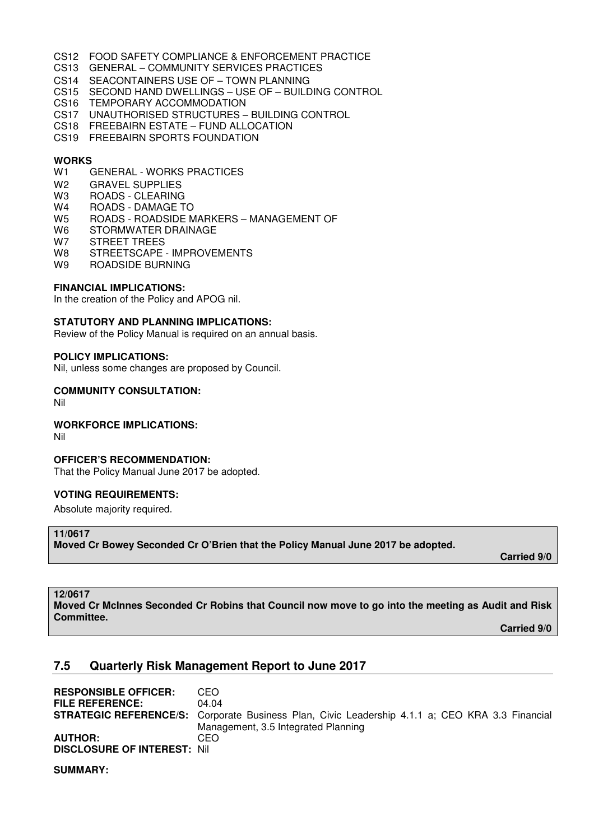- CS12 FOOD SAFETY COMPLIANCE & ENFORCEMENT PRACTICE
- CS13 GENERAL COMMUNITY SERVICES PRACTICES
- CS14 SEACONTAINERS USE OF TOWN PLANNING
- CS15 SECOND HAND DWELLINGS USE OF BUILDING CONTROL
- CS16 TEMPORARY ACCOMMODATION
- CS17 UNAUTHORISED STRUCTURES BUILDING CONTROL
- CS18 FREEBAIRN ESTATE FUND ALLOCATION
- CS19 FREEBAIRN SPORTS FOUNDATION

#### **WORKS**

- W1 GENERAL WORKS PRACTICES
- W2 GRAVEL SUPPLIES
- W3 ROADS CLEARING
- W4 ROADS DAMAGE TO
- W5 ROADS ROADSIDE MARKERS MANAGEMENT OF
- W6 STORMWATER DRAINAGE
- W7 STREET TREES
- W8 STREETSCAPE IMPROVEMENTS
- W9 ROADSIDE BURNING

#### **FINANCIAL IMPLICATIONS:**

In the creation of the Policy and APOG nil.

#### **STATUTORY AND PLANNING IMPLICATIONS:**

Review of the Policy Manual is required on an annual basis.

#### **POLICY IMPLICATIONS:**

Nil, unless some changes are proposed by Council.

#### **COMMUNITY CONSULTATION:**

Nil

#### **WORKFORCE IMPLICATIONS:**

Nil

#### **OFFICER'S RECOMMENDATION:**

That the Policy Manual June 2017 be adopted.

#### **VOTING REQUIREMENTS:**

Absolute majority required.

#### **11/0617**

**Moved Cr Bowey Seconded Cr O'Brien that the Policy Manual June 2017 be adopted.** 

 **Carried 9/0** 

#### **12/0617**

**Moved Cr McInnes Seconded Cr Robins that Council now move to go into the meeting as Audit and Risk Committee.** 

 **Carried 9/0** 

# **7.5 Quarterly Risk Management Report to June 2017**

| <b>RESPONSIBLE OFFICER:</b>         | CEO                                                                                                    |
|-------------------------------------|--------------------------------------------------------------------------------------------------------|
| <b>FILE REFERENCE:</b>              | 04.04                                                                                                  |
|                                     | <b>STRATEGIC REFERENCE/S:</b> Corporate Business Plan, Civic Leadership 4.1.1 a; CEO KRA 3.3 Financial |
|                                     | Management, 3.5 Integrated Planning                                                                    |
| <b>AUTHOR:</b>                      | CEO                                                                                                    |
| <b>DISCLOSURE OF INTEREST: Nill</b> |                                                                                                        |

**SUMMARY:**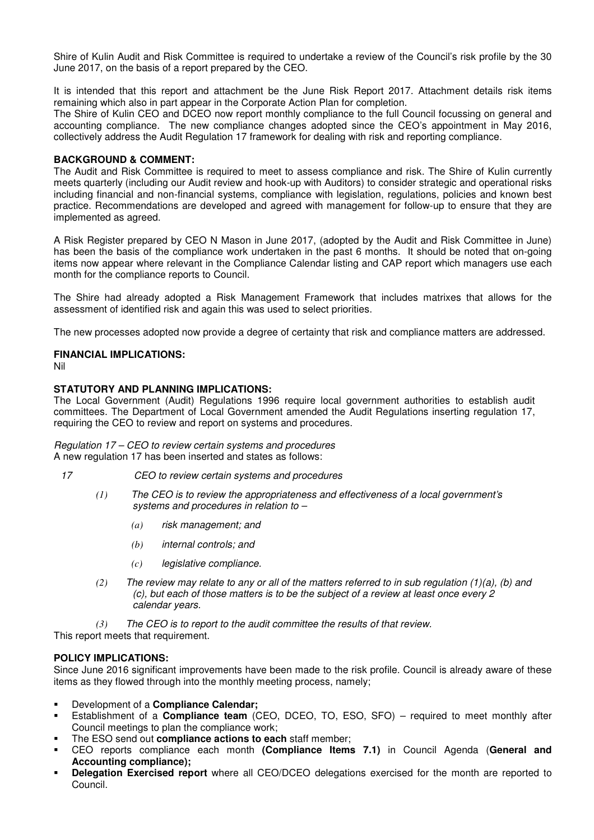Shire of Kulin Audit and Risk Committee is required to undertake a review of the Council's risk profile by the 30 June 2017, on the basis of a report prepared by the CEO.

It is intended that this report and attachment be the June Risk Report 2017. Attachment details risk items remaining which also in part appear in the Corporate Action Plan for completion.

The Shire of Kulin CEO and DCEO now report monthly compliance to the full Council focussing on general and accounting compliance. The new compliance changes adopted since the CEO's appointment in May 2016, collectively address the Audit Regulation 17 framework for dealing with risk and reporting compliance.

#### **BACKGROUND & COMMENT:**

The Audit and Risk Committee is required to meet to assess compliance and risk. The Shire of Kulin currently meets quarterly (including our Audit review and hook-up with Auditors) to consider strategic and operational risks including financial and non-financial systems, compliance with legislation, regulations, policies and known best practice. Recommendations are developed and agreed with management for follow-up to ensure that they are implemented as agreed.

A Risk Register prepared by CEO N Mason in June 2017, (adopted by the Audit and Risk Committee in June) has been the basis of the compliance work undertaken in the past 6 months. It should be noted that on-going items now appear where relevant in the Compliance Calendar listing and CAP report which managers use each month for the compliance reports to Council.

The Shire had already adopted a Risk Management Framework that includes matrixes that allows for the assessment of identified risk and again this was used to select priorities.

The new processes adopted now provide a degree of certainty that risk and compliance matters are addressed.

# **FINANCIAL IMPLICATIONS:**

Nil

# **STATUTORY AND PLANNING IMPLICATIONS:**

The Local Government (Audit) Regulations 1996 require local government authorities to establish audit committees. The Department of Local Government amended the Audit Regulations inserting regulation 17, requiring the CEO to review and report on systems and procedures.

*Regulation 17 – CEO to review certain systems and procedures* A new regulation 17 has been inserted and states as follows:

- *17 CEO to review certain systems and procedures*
	- *(1) The CEO is to review the appropriateness and effectiveness of a local government's systems and procedures in relation to –*
		- *(a) risk management; and*
		- *(b) internal controls; and*
		- *(c) legislative compliance.*
	- *(2) The review may relate to any or all of the matters referred to in sub regulation (1)(a), (b) and (c), but each of those matters is to be the subject of a review at least once every 2 calendar years.*

*(3) The CEO is to report to the audit committee the results of that review.*

This report meets that requirement.

# **POLICY IMPLICATIONS:**

Since June 2016 significant improvements have been made to the risk profile. Council is already aware of these items as they flowed through into the monthly meeting process, namely;

- Development of a **Compliance Calendar;**
- Establishment of a **Compliance team** (CEO, DCEO, TO, ESO, SFO) required to meet monthly after Council meetings to plan the compliance work;
- The ESO send out **compliance actions to each** staff member;
- CEO reports compliance each month **(Compliance Items 7.1)** in Council Agenda (**General and Accounting compliance);**
- **Delegation Exercised report** where all CEO/DCEO delegations exercised for the month are reported to Council.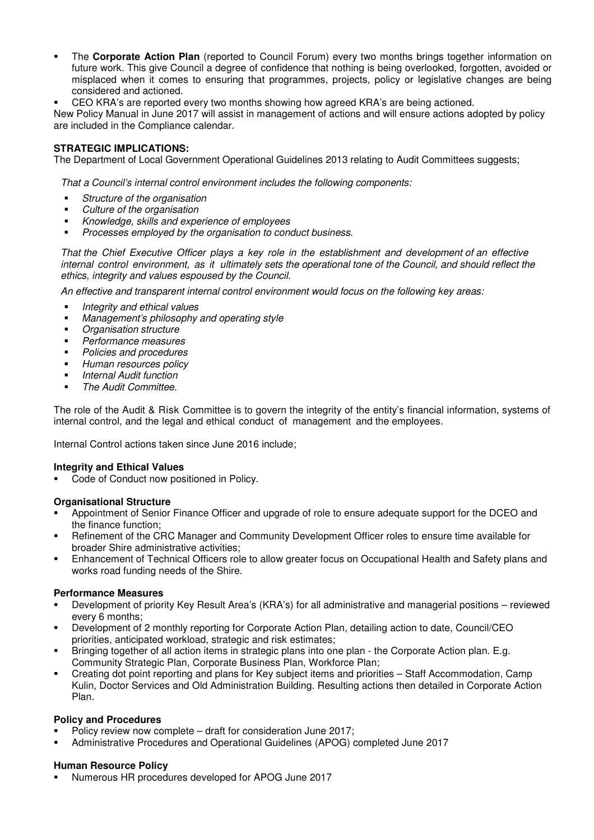- The **Corporate Action Plan** (reported to Council Forum) every two months brings together information on future work. This give Council a degree of confidence that nothing is being overlooked, forgotten, avoided or misplaced when it comes to ensuring that programmes, projects, policy or legislative changes are being considered and actioned.
- CEO KRA's are reported every two months showing how agreed KRA's are being actioned.

New Policy Manual in June 2017 will assist in management of actions and will ensure actions adopted by policy are included in the Compliance calendar.

# **STRATEGIC IMPLICATIONS:**

The Department of Local Government Operational Guidelines 2013 relating to Audit Committees suggests;

*That a Council's internal control environment includes the following components:* 

- *Structure of the organisation*
- *Culture of the organisation*
- *Knowledge, skills and experience of employees*
- *Processes employed by the organisation to conduct business.*

*That the Chief Executive Officer plays a key role in the establishment and development of an effective* internal control environment, as it ultimately sets the operational tone of the Council, and should reflect the *ethics, integrity and values espoused by the Council.* 

*An effective and transparent internal control environment would focus on the following key areas:* 

- *Integrity and ethical values*
- *Management's philosophy and operating style*
- *Organisation structure*
- *Performance measures*
- *Policies and procedures*
- *Human resources policy*
- *Internal Audit function*
- *The Audit Committee.*

The role of the Audit & Risk Committee is to govern the integrity of the entity's financial information, systems of internal control, and the legal and ethical conduct of management and the employees.

Internal Control actions taken since June 2016 include;

#### **Integrity and Ethical Values**

Code of Conduct now positioned in Policy.

# **Organisational Structure**

- Appointment of Senior Finance Officer and upgrade of role to ensure adequate support for the DCEO and the finance function;
- Refinement of the CRC Manager and Community Development Officer roles to ensure time available for broader Shire administrative activities;
- Enhancement of Technical Officers role to allow greater focus on Occupational Health and Safety plans and works road funding needs of the Shire.

# **Performance Measures**

- Development of priority Key Result Area's (KRA's) for all administrative and managerial positions reviewed every 6 months;
- Development of 2 monthly reporting for Corporate Action Plan, detailing action to date, Council/CEO priorities, anticipated workload, strategic and risk estimates;
- Bringing together of all action items in strategic plans into one plan the Corporate Action plan. E.g. Community Strategic Plan, Corporate Business Plan, Workforce Plan;
- Creating dot point reporting and plans for Key subject items and priorities Staff Accommodation, Camp Kulin, Doctor Services and Old Administration Building. Resulting actions then detailed in Corporate Action Plan.

#### **Policy and Procedures**

- Policy review now complete draft for consideration June 2017;
- Administrative Procedures and Operational Guidelines (APOG) completed June 2017

#### **Human Resource Policy**

Numerous HR procedures developed for APOG June 2017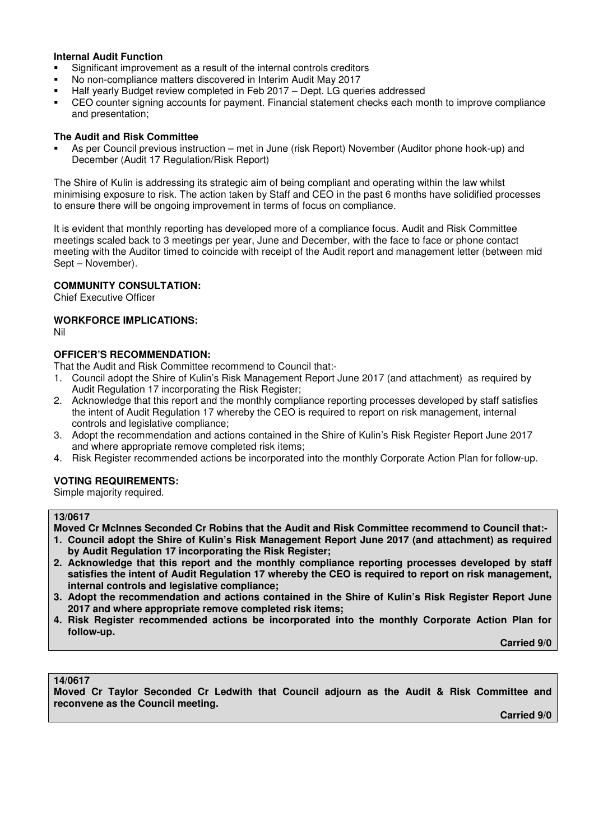#### **Internal Audit Function**

- Significant improvement as a result of the internal controls creditors
- No non-compliance matters discovered in Interim Audit May 2017
- Half yearly Budget review completed in Feb 2017 Dept. LG queries addressed
- CEO counter signing accounts for payment. Financial statement checks each month to improve compliance and presentation;

#### **The Audit and Risk Committee**

 As per Council previous instruction – met in June (risk Report) November (Auditor phone hook-up) and December (Audit 17 Regulation/Risk Report)

The Shire of Kulin is addressing its strategic aim of being compliant and operating within the law whilst minimising exposure to risk. The action taken by Staff and CEO in the past 6 months have solidified processes to ensure there will be ongoing improvement in terms of focus on compliance.

It is evident that monthly reporting has developed more of a compliance focus. Audit and Risk Committee meetings scaled back to 3 meetings per year, June and December, with the face to face or phone contact meeting with the Auditor timed to coincide with receipt of the Audit report and management letter (between mid Sept – November).

#### **COMMUNITY CONSULTATION:**

Chief Executive Officer

#### **WORKFORCE IMPLICATIONS:**

Nil

# **OFFICER'S RECOMMENDATION:**

That the Audit and Risk Committee recommend to Council that:-

- 1. Council adopt the Shire of Kulin's Risk Management Report June 2017 (and attachment) as required by Audit Regulation 17 incorporating the Risk Register:
- 2. Acknowledge that this report and the monthly compliance reporting processes developed by staff satisfies the intent of Audit Regulation 17 whereby the CEO is required to report on risk management, internal controls and legislative compliance;
- 3. Adopt the recommendation and actions contained in the Shire of Kulin's Risk Register Report June 2017 and where appropriate remove completed risk items;
- 4. Risk Register recommended actions be incorporated into the monthly Corporate Action Plan for follow-up.

#### **VOTING REQUIREMENTS:**

Simple majority required.

#### **13/0617**

**Moved Cr McInnes Seconded Cr Robins that the Audit and Risk Committee recommend to Council that:-** 

- **1. Council adopt the Shire of Kulin's Risk Management Report June 2017 (and attachment) as required by Audit Regulation 17 incorporating the Risk Register;**
- **2. Acknowledge that this report and the monthly compliance reporting processes developed by staff satisfies the intent of Audit Regulation 17 whereby the CEO is required to report on risk management, internal controls and legislative compliance;**
- **3. Adopt the recommendation and actions contained in the Shire of Kulin's Risk Register Report June 2017 and where appropriate remove completed risk items;**
- **4. Risk Register recommended actions be incorporated into the monthly Corporate Action Plan for follow-up.**

 **Carried 9/0** 

#### **14/0617**

**Moved Cr Taylor Seconded Cr Ledwith that Council adjourn as the Audit & Risk Committee and reconvene as the Council meeting.** 

 **Carried 9/0**